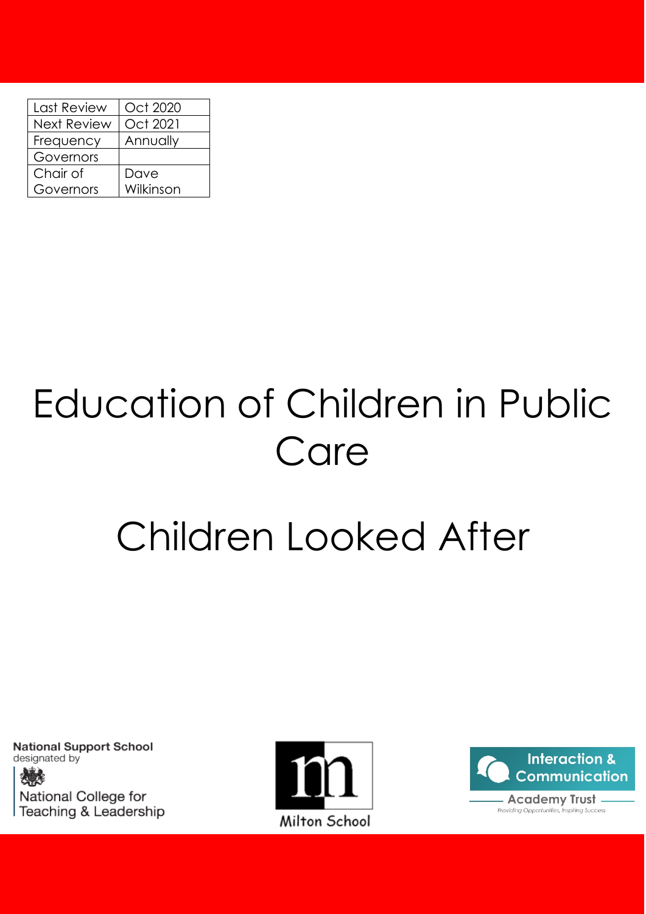| Last Review        | Oct 2020  |
|--------------------|-----------|
| <b>Next Review</b> | Oct 2021  |
| Frequency          | Annually  |
| Governors          |           |
| Chair of           | Dave      |
| Governors          | Wilkinson |

# Education of Children in Public Care

# Children Looked After

**National Support School** designated by National College for Teaching & Leadership



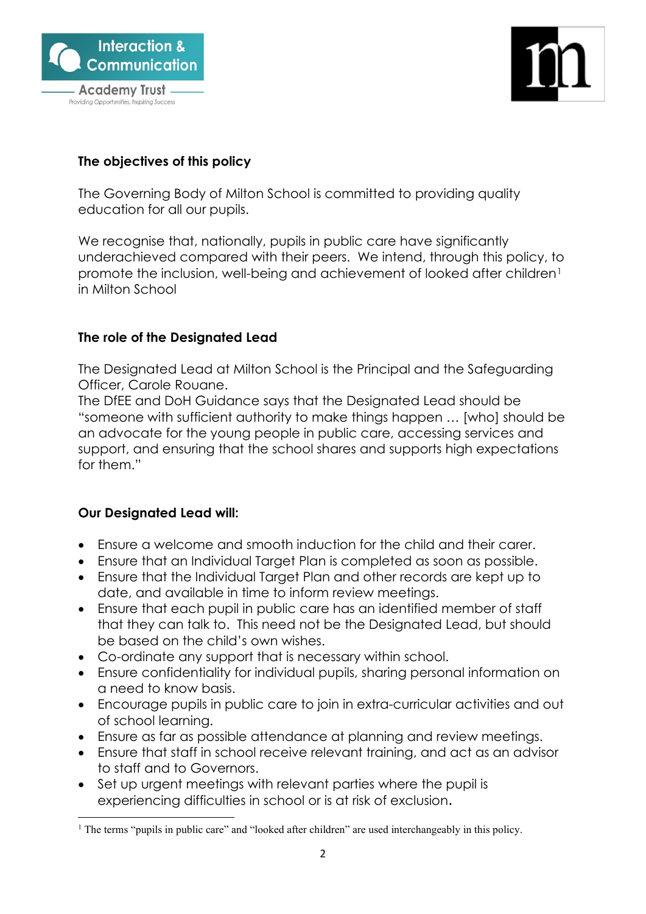



## **The objectives of this policy**

The Governing Body of Milton School is committed to providing quality education for all our pupils.

We recognise that, nationally, pupils in public care have significantly underachieved compared with their peers. We intend, through this policy, to promote the inclusion, well-being and achievement of looked after children<sup>[1](#page-1-0)</sup> in Milton School

### **The role of the Designated Lead**

The Designated Lead at Milton School is the Principal and the Safeguarding Officer, Carole Rouane.

The DfEE and DoH Guidance says that the Designated Lead should be "someone with sufficient authority to make things happen … [who] should be an advocate for the young people in public care, accessing services and support, and ensuring that the school shares and supports high expectations for them."

### **Our Designated Lead will:**

- Ensure a welcome and smooth induction for the child and their carer.
- Ensure that an Individual Target Plan is completed as soon as possible.
- Ensure that the Individual Target Plan and other records are kept up to date, and available in time to inform review meetings.
- Ensure that each pupil in public care has an identified member of staff that they can talk to. This need not be the Designated Lead, but should be based on the child's own wishes.
- Co-ordinate any support that is necessary within school.
- Ensure confidentiality for individual pupils, sharing personal information on a need to know basis.
- Encourage pupils in public care to join in extra-curricular activities and out of school learning.
- Ensure as far as possible attendance at planning and review meetings.
- Ensure that staff in school receive relevant training, and act as an advisor to staff and to Governors.
- Set up urgent meetings with relevant parties where the pupil is experiencing difficulties in school or is at risk of exclusion.

<span id="page-1-0"></span><sup>&</sup>lt;sup>1</sup> The terms "pupils in public care" and "looked after children" are used interchangeably in this policy.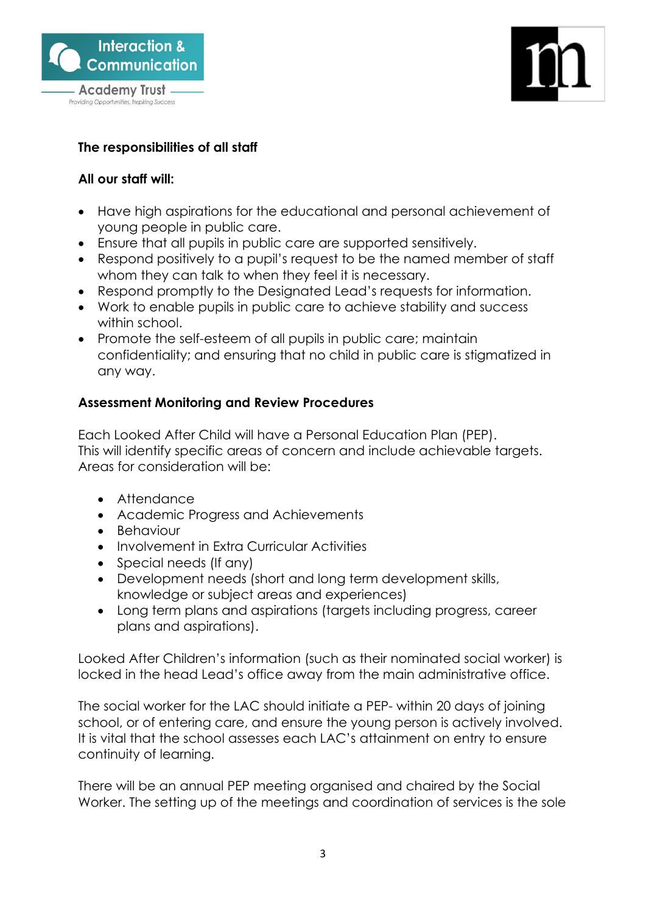



# **The responsibilities of all staff**

### **All our staff will:**

- Have high aspirations for the educational and personal achievement of young people in public care.
- Ensure that all pupils in public care are supported sensitively.
- Respond positively to a pupil's request to be the named member of staff whom they can talk to when they feel it is necessary.
- Respond promptly to the Designated Lead's requests for information.
- Work to enable pupils in public care to achieve stability and success within school.
- Promote the self-esteem of all pupils in public care; maintain confidentiality; and ensuring that no child in public care is stigmatized in any way.

# **Assessment Monitoring and Review Procedures**

Each Looked After Child will have a Personal Education Plan (PEP). This will identify specific areas of concern and include achievable targets. Areas for consideration will be:

- Attendance
- Academic Progress and Achievements
- Behaviour
- Involvement in Extra Curricular Activities
- Special needs (If any)
- Development needs (short and long term development skills, knowledge or subject areas and experiences)
- Long term plans and aspirations (targets including progress, career plans and aspirations).

Looked After Children's information (such as their nominated social worker) is locked in the head Lead's office away from the main administrative office.

The social worker for the LAC should initiate a PEP- within 20 days of joining school, or of entering care, and ensure the young person is actively involved. It is vital that the school assesses each LAC's attainment on entry to ensure continuity of learning.

There will be an annual PEP meeting organised and chaired by the Social Worker. The setting up of the meetings and coordination of services is the sole